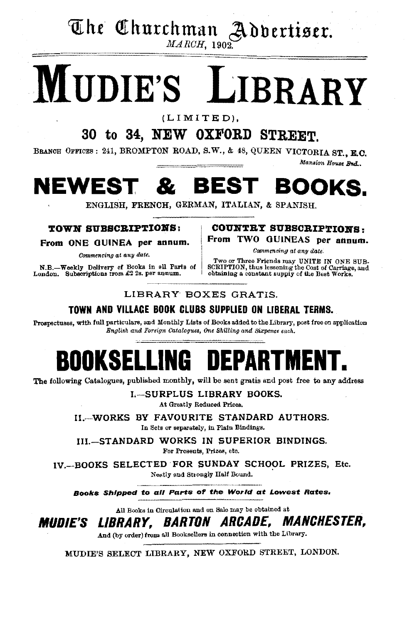The Churchman Advertiser.

 $MARCH$ , 1902.

# MUDIE'S LIBRARY

 $(LIMITED).$ 

## 30 to 34, NEW OXFORD STREET.

BRANCH OFFICES: 241, BROMPTON ROAD, S.W., & 48, QUEEN VICTORIA ST., E.C. Mansion House Bnd.

#### **NEWEST**  $\boldsymbol{\mathcal{R}}$ **BEST** BOOKS.

ENGLISH, FRENCH, GERMAN, ITALIAN, & SPANISH.

### **TOWN SUBSCRIPTIONS:**

From ONE GUINEA per annum.

Commencing at any date.

N.B.-Weekly Delivery of Books in all Parts of London. Subscriptions from £2 2s. per annum.

**COUNTRY SUBSCRIPTIONS:** From TWO GUINEAS per annum.

Commencing at any date.

Two or Three Friends may UNITE IN ONE SUB-<br>SCRIPTION, thus lessening the Cost of Carriage, and<br>obtaining a constant supply of the Best Works.

### LIBRARY BOXES GRATIS.

### TOWN AND VILLACE BOOK CLUBS SUPPLIED ON LIBERAL TERMS.

Prospectuses, with full particulars, and Monthly Lists of Books added to the Library, post free on application English and Foreign Catalogues, One Shilling and Sixpence each.

### DEPARTI ROOKSEL H

The following Catalogues, published monthly, will be sent gratis and post free to any address

L-SURPLUS LIBRARY BOOKS. At Greatly Reduced Prices.

II.-WORKS BY FAVOURITE STANDARD AUTHORS. In Sets or separately, in Plain Bindings.

III.-STANDARD WORKS IN SUPERIOR BINDINGS. For Presents, Prizes, etc.

IV. BOOKS SELECTED FOR SUNDAY SCHOOL PRIZES, Etc. Neatly and Strongly Half Bound.

Books Shipped to all Parts of the World at Lowest Rates.

All Books in Circulation and on Sale may be obtained at

*MANCHESTER. Mudie's Library. Barton Arcade,* 

And (by order) from all Booksellers in connection with the Library.

MUDIE'S SELECT LIBRARY, NEW OXFORD STREET, LONDON.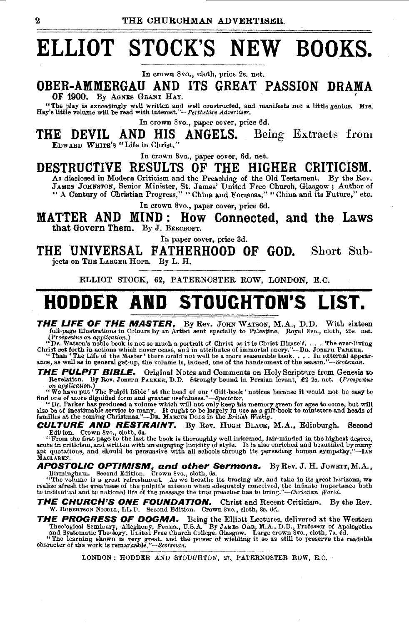# **ELLIOT STOCK'S NEW BOOKS.**<br>In crown 8vo., cloth, price 2s. net.

OBER-AMMERGAU AND ITS GREAT PASSION DRAMA OF 1900. By AGNES GRANT HAY.

"The play is exceedingly well written and well constructed, and manifeste not a little genius. Mrs. Hay'slittfe volume will be read "'ith interest."-Perthlrhir< *Advertiser.* 

In crown 8vo., paper cover, price 6d.

THE DEVIL AND HIS ANGELS. Being Extracts from<br>EDWABD WHITE'S "Life in Christ."

In crown Svo., paper cover, 6d. net.

DESTRUCTIVE RESULTS OF THE HIGHER CRITICISM.

As diselosed in Modern Criticism and the Preaching of the Old Testament. By the Rev. JAMES JOHNSTON, Senior Minister, St. James' United Free Church, Glasgow; Author of "A Century of Christian Progress," "China and Formosa," "China and its Future," etc.

In crown 8vo., paper cover, price 6d.

MATTER AND MIND : How Connected, and the Laws that Govern Them. By J. BEECROFT.

In paper cover, price 3d.

THE UNIVERSAL FATHERHOOD OF GOD. Short Subjects on THE LARGER HOPE. By L. H.

ELLIOT STOCK, 62, PATERNOSTER ROW, LONDON, E.C.

# **HODDER AND STOUGHTON'S LIST.**

THE LIFE OF THE MASTER. By Rev. JOHN WATSON, M.A., D.D. With sixteen full-page Illustrations in Colours by an Artist sent specially to Palestine. Royal 8vo., cloth, 25s. net. full-page Illustrations in Colours by an Artist sent specially to Palestine. Royal 8vo., cloth, 25s. net.<br>(Prospectus on application.)<br>"Dr. Wateon's noble book is not so much a portrait of Christ as it is Christ Himself. .

Christ set forth in actions which never cease, and in attributes of immortal enery."—DR. JOSEPH PARKER.<br>"Than 'The Life of the Master' there could not well be a more sesonable book..... In external appear<br>ance, as well as

THE PULPIT BIBLE. Original Notes and Comments on Holy Scripture from Genesis to Revelation. By Rev. JOSEPH PARKER, D.D. Strongly bound in Persian levant, £2 2s. net. (Prospectus

on application.)<br>
"We have put "The Pulpit Bible' at the head of our 'Gift-book' notices because it would not be easy to<br>
find one of more dignified form and greater usefulness."—Spectator.<br>
"Dr. Parker has produced a vol

CULTURE AND RESTRAINT. By Rev. HUGH BLACK, M.A., Edinburgh. Second Edition. Crown 8vo., cloth, 6s.

Eurious. Crown over, clock, we are the book is thoroughly well informed, fair-minded in the highest degree, "<br>From the first page to the last the book is thoroughly well informed, fair-minded in the highest degree,<br>acute i

**APOSTOLIC OPTIMISM, and other Sermons.** By Rev. J. H. JOWETT, M.A., Birmingham. Second Edition. Crown 8vo., cloth, 6s.<br>"The volume is a great refreshment. As we breathe its bracing air, and take in its great horizons, we<br>

THE CHURCH'S ONE FOUNDATION. Christ and Recent Criticism. By the Rev. W. ROBERTSON NICOLL, LL.D. Second Edition. Crown 8vo., cloth, Ss. 6d.

THE PROGRESS OF DOGMA. Being the Elliott Lectures, delivered at the Western

Theological Seminary, Allegheny, Penna, U.S.A. By JAMES ORR, M.A., D.D., Professor of Apologetics and Systematic Theology, United Free Church College, Ghasgow. Large crown Svo., cloth, 7e. 6d. "The learning shown is very g e work is remarkable,"---Scotsman.<br>LONDON: HODDER AND STOUGHTON, 27, PATERNOSTER ROW, E.C.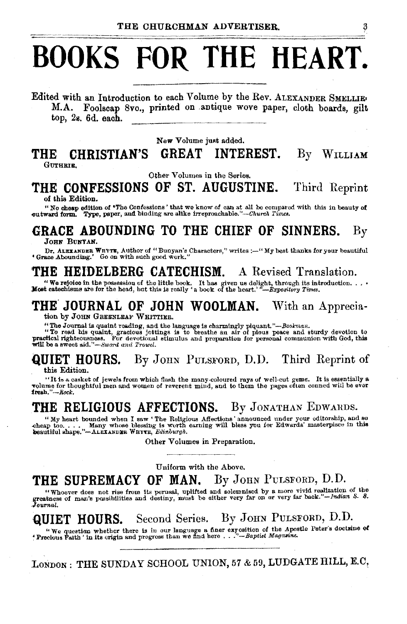# **BOOKS FOR THE HEART.**

Edited with an Introduction to each Volume by the Rev. ALEXANDER SMELLIE• M.A. Foolscap 8vo., printed on .antique wove paper, cloth boards, gilt top, 2s. 6d. each.

New Volume just added.

# **THE CHRISTIAN'S GREAT INTEREST.** By WILLIAM

Other Volumes in the Series.

# **THE CONFESSIONS OF ST. AUGUSTINE.** Third Reprint of this Edition.

of this Edition of \*The Confessions' that we know of can at all be compared with this in beauty of outward form. Type, paper, and binding are alike irreproachable."-Church *Times*.

# **GRACE ABOUNDING TO THE CHIEF OF SINNERS.** By JOHN BUNYAN.

Dr. ALEXANDER WHYTE, Author of "Bunyan's Characters," writes :--"My best thanks for your beautiful • Grace Abounding.' Go on with such good work."

### **THE HEIDELBERG CATECHISM.** A Revised Translation.

"We rejoice in the possession of the little book. It has given us delight, through its introduction. . . . .<br>Most catechisms ate for the head, but this is really 'a book of the heart.' "-Bxpository Times.

### THE JOURNAL OF JOHN WOOLMAN. With an Appreciation by JOHN GREENLEAF WHITTIER.

"The Journal is quaint reading, and the language is charmingly piquant."—Bookman.<br>"To read his quaint, gracious joitings is to breathe an air of pious peace and sturdy devotion to practical righteousness. For devotional s

### **QUIET HOURS.** By JOHN PULSFORD, D.D. Third Reprint of this Edition.

"It is a casket of jewels from which flash the many -coloured rays of well-cut gems. It is essentially a volume for thoughtful men and women of reverent mind, and to them the pages often conned will be ever

## THE RELIGIOUS AFFECTIONS. By JONATHAN EDWARDS.

"My heart bounded when I saw 'The Religious Affections' announced under your editorship, and so cheap too.... Many whose blessing is worth earning will bless you for Edwards' masterpisce in this beautiful shape."-ALEXANDER

Other Volumes in Preparation.

Uniform with the Above.

### **THE SUPREMACY OF MAN.** By JoHN PuLsFoRD, D.D.

"Whoever does not rise from its perusal, uplifted and solemnised by a more vivid realization of the greatness of man's possibilities and destiny, must be either very far on or very far back."-Indian S. S.<br>Journal.

**QUIET HOURS.** Second Series. By JOHN PULSFORD, D.D.<br>"We question whether there is in our language a finer exposition of the Apostle Peter's doctrine of<br>"Precious Faith ' in its origin and progress than we find here . . ."

LONDON: THE SUNDAY SCHOOL UNION, 57 & 59, LUDGATE HILL, E.C.

3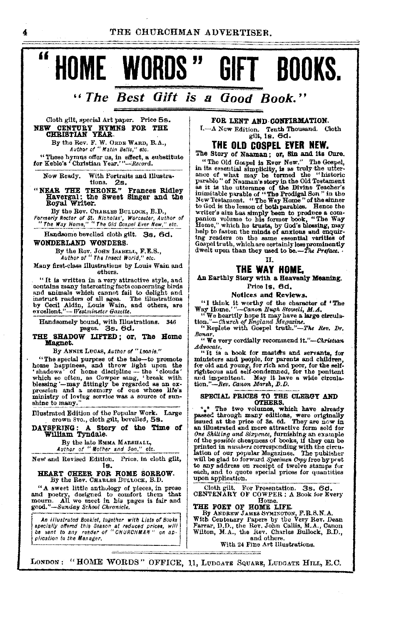THE CHURCHMAN ADVERTISER



## "The Best Gift is a Good Book."

### Cloth gilt, special Art paper. Price 5s. NEW CENTURY HYMNS FOR THE CHRISTIAN YEAR.

 $\overline{\mathbf{4}}$ 

"

By the Rev. F. W. ORDE WARD, B.A.,<br>Author of " Matin Belis," etc.

"These hymns offer us, in effect, a substitute<br>for Keble's "Christian Year." "--Record.

With Portraits and Illustra-<br>tions. 2s. Now Ready.

"NEAR THE THEONE." Frances Ridley<br>Havergal: the Sweet Singer and the<br>Royal Writer.

By the Rev. CHARLES BULLOCK, B.D., Formerly Rector of St. Nicholas', Worcester, Author of<br>"The Way Home," "The Old Gospel Ever New," etc.

Handsome bevelled cloth gilt. Ss. 6d.

### WONDERLAND WONDERS.

By the Rev. JOHN ISABELL, F.E.S.,<br>Author of "The Insect World," etc.

Many first-class Illustrations by Louis Wain and others.

"It is written in a very attractive style, and The written in a very attractive site, and<br>contains many interesting facts concerning birds<br>and animals which cannot fail to delight and<br>instruct readers of all ages. The illustrations<br>by Cecil Aldin, Louis Wain, and other

Handsomely bound, with Illustrations. 346<br>pages. 3s. 6d.

#### THE SHADOW LIFTED; or, The Home Magnet.

By ANNIE LUCAS, Author of "Leonie."

The special purpose of the tale-to promote<br>home happiness, and throw light upon the<br>'chedowa' of home discipline -- the 'clouds' nome nappuress, and throw uptu upon the 'clouds'<br>
'shadows' of home discipline -- the 'clouds'<br>
which so often, as Cowper sang, 'break with<br>
blessing '-may fittingly be regarded as an ex-<br>
pression and a memory of one whos shine to many."

Illustrated Edition of the Popular Work. Large crown 8vo., cloth gilt, bevelled, 5s.

DAYSPRING: A Story of the Time of William Tyndale.

By the late EMMA MARSHALL,<br>Author of "Mother and Son," etc.

New and Revised Edition. Price, in cloth gilt, ts.

#### HEART CHEER FOR HOME SORROW. By the Rev. CHARLES BULLOCK, B.D.

"A sweet little anthology of pieces, in prose and poetry, designed to countort them that moorn. All we meet in his pages is fair and good."-Sunday School Chronicle.

An illustrated Booklet, together with Lists of Books specially offered this Season at reduced prices, will<br>be sent to any reader of "CHURCHMAN" on application to the Manager,

FOR LENT AND CONFIRMATION. I.---A New Edition. Tenth Thousand. Cloth<br>gilt, Is. 6d.

### **THE OLD COSPEL EVER NEW.**

The Story of Naaman; or, Sin and its Cure. "The Old Gospel is Ever New." The Gospel, "The Old Gospel is Ever New." The Gospel,<br>in its essential simplicity, is as truly the utter-<br>ance of what may be termed the "historic<br>parable" of Naaman's story in the Old Testament<br>as it is the utterance of the Divine Te so you as alm has simply been to produce a com-<br>panion volume to his former book, "The Way<br>Hone," which he trusts, by God's blessing, may<br>help to fasten the minds of anxious and enquiring readers on the same essential varities of<br>Gospoi truth, which are certainly less prominently<br>dwelt upon than they used to be.—The Preface.

#### TI.

### THE WAY HOME.

An Earthly Story with a Heavenly Meaning. Price 1s. 6d.

Notices and Reviews.

"I think it worthy of the character of "The Way Home." --Canon Hugh Stowell, M.A.<br>"We heartly hope it may have a large oirculation."--Charch of England Magazine.<br>"Replete with Gospel truth."--The Rev. Dr.

Bonar.<br>"We very cordially recommend it."-Christian Advocate.

"It is a book for masters and servants, for The above for parents and bench and severally for the self-<br>rightcous and self-condemned, for the self-<br>rightcous and self-condemned, for the pentient and cinquies and imperitent. May it have a wide circula-<br>tion,"--Rev. C

## SPECIAL PRICES TO THE CLERGY AND OTHERS.

\*\*\* The two volumes, which have already passed through many editions, were originally issued at the price of 3s. 6d. They are now in illustrated and more attractive form sold for One Shilling and Sixpence, furnishing an example<br>of the possible cheapness of books, if they can be or and printed in numbers corresponding with the circulation of our popular Magazines. The publisher will be glad to forward Specimen Copy free by pret to any address on receipt of twelve stamps for<br>each, and to quote special prices for quantities upon application.

Cloth gilt. For Presentation. 3s. 6d.<br>CENTENARY OF COWPER : A Book for Every Home

### THE POET OF HOME LIFE.

By ANDREW JAMES SYMINOTON, F.R.S.N.A.<br>With Centenary Papers by the Very Rev. Dean<br>Farrar, D.D., the Rev. John Callis, M.A., Canon Wilton, M.A., the Rev. Charles Bullock, B.D., and others.

With 24 Fine Art Illustrations.

LONDON: "HOME WORDS" OFFICE, 11, LUDGATE SQUARE, LUDGATE HILL, E.C.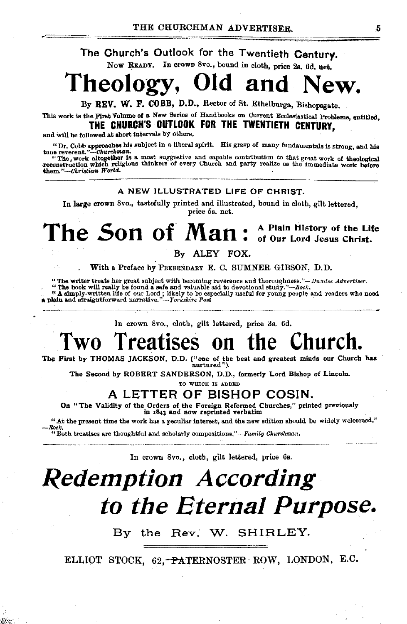### The Church's Outlook for the Twentieth Century. Now READY. In crown 8vo., bound in cloth, price 2s. 6d. net.

### Theology, Old and ew.

Bv REV. W. F. COBB, D.D., Rector of St. Ethelburga, Bishopsgate.

This work is the First Volume of a New Series of Handbooks on Current Ecclesiastical Problems, entitled. THE CHURCH'S OUTLOOK FOR THE TWENTIETH CENTURY.

and will be followed at short intervals by others.

"Dr. Cobb approaches his subject in a liberal spirit. His grasp of many fundamentals is strong, and his

tone reversal."....Churchman.<br>"The work altogether is a most suggestive and capable contribution to that great work of theological<br>reconstruction which religious thinkers of every Church and party realize as the immediate them."-Christian World.

### A NEW ILLUSTRATED LIFE OF CHRIST.

In large crown 8vo., tastefully printed and illustrated, bound in cloth, gilt lettered. price 5s. net.

#### The Son of Man: A Plain History of the Life of Our Lord Jesus Christ.

### By ALEY FOX.

With a Preface by PREBENDARY E. C. SUMNER GIBSON, D.D.

"The writer treats her great subject with becoming reverence and thoroughness."- Dundee Advertiser.

"The book will really be found a safe and valuable aid to devotional study."-Rock.

A simply-written life of our Lord; likely to be especially useful for young people and readers who need<br>a plain and straightforward narrative."-- Yorkshire Post

In crown 8vo., cloth, gilt lettered, price 3s. 6d.

#### hnrch Two Treatises hρ

The First by THOMAS JACKSON, D.D. ("one of the best and greatest minds our Church has nurtured").

The Second by ROBERT SANDERSON, D.D., formerly Lord Bishop of Lincoln.

TO WHICH IS ADDED.

### A LETTER OF BISHOP COSIN.

On "The Validity of the Orders of the Foreign Reformed Churches," printed previously in 1843 and now reprinted verbatim

"At the present time the work has a peculiar interest, and the new edition should be widely welcomed." Rock

"Both treatises are thoughtful and scholarly compositions,"-Family Churchman.

かに

In crown 8vo., cloth, gilt lettered, price 6s.

# **Redemption According** to the Eternal Purpose.

By the Rev. W. SHIRLEY.

ELLIOT STOCK, 62,-PATERNOSTER ROW, LONDON, E.C.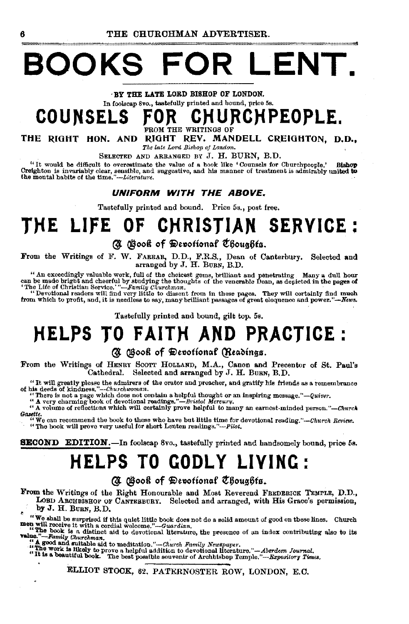# **BOOKS FOR LENT.**

, BY THE LATE LORD BISHOP OF LONDON.

## In foolscap Svo., tastefully printed and bound, price 5s. COUNSELS FOR CHURCHPEOPLE.

THE RIGHT HON. AND RIGHT REV. MANDELL CREIGHTON, D.D., *The late Lord Bishop oj London.* 

SELECTED AND ARRANGED BY J. H. BURN, B.D.

"It would be difficult to overestimate the value of a book like ' Counsels for Church people.' Bishop Creighton is invariably clear, sensible, and suggestive, and his manner of treatment is admirably united to the time."-Literature.

### UNIFORM WITH THE ABOVE.

Tastefully printed and bound. Price 5s., post free.

# **THE LIFE OF CHRISTIAN SERVICE** :

### (J @ooft of <Ji>e"otion~f t'6ou156ta.

From the Writings of F. W. FARRAR, D.D., F.R.S., Dean of Canterbury. Selected and arranged by J. H. BuRN, B.D.

" An exceedingly valuable work, full of the choicest gems, brilliant and penetrating Many a dull hour<br>can be made bright and cheerful by studying the thoughts of the venerable Dean, as depicted in the pages of<br>The Life of

"Devotional readers will find very little to dissent from in these pages. They will certainly find much from which to profit, and, it is needless to say, many brilliant passages of great eloquence and power.''--News.

Tastefully printed and bound, gilt top, 5s.

# **HELPS TO FAITH AMD PRACTICE:**

### (3) (Book of Devotional (Readings.

From the Writings of HENRY SCOTT HOLLAND, M.A., Canon and Precentor of St. Paul's Cathedral. Selected and arranged by J. H. BURN, B.D. Selected and arranged by J. H. BuRN, B.D.

"It will greatly please the admirers of the orator and proacher, and gratify his friends as a remembrance of his deeds of kindness."-Churchwoman.<br>"There is not a page which does not contain a helpful thought or an inspiri

*Gazttte.* "We can recommend the book to those who have but little time for devotional *reading."·-Church Review.* "The book will prove very useful for short Lenten rea<iings."-Pilot.

**SECOND EDITION.** In foolscap 8vo., tastefully printed and handsomely bound, price 5s.

# **HELPS TO GODLY LIVING** :

### (A Gook of Devotional Choughts.

From the Writings of the Right Honourable and Most Reverend FREDERICK TEMPLE, D.D., LOBD ARCHBISHOP OF CANTERBURY. Selected and arranged, with His Grace's permission, by J. H. Buan, B.D.

by J. H. BuRN, B.D.<br>• We shall be surprised if this quiet little book does not do a solid amount of good on these lines. Church men will receive it with a cordial welcome." --Guardian.

men will receive it with a cordial welcome."-Guardian.<br>"He book is a distinct aid to devotional literature, the presence of an index contributing also to its value."<br>"-Family Churchman.

" A good and suitable aid to meditation."—Church Family Newspaper.<br>"The work is ilkely to prove a helpful addition to devotional literature."—Aberdeen Journal.<br>"It is a beautiful book." The best possible souvenir of Archbi

ELLIOT STOCK, 62, PATERNOSTER ROW, LONDON, E.C.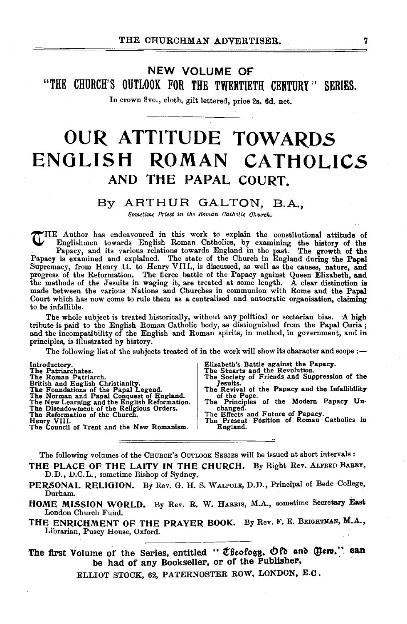## NEW VOLUME OF "THE CHURCH'S OUTLOOK FOR THE TWENTIETH CENTURY" SERIES.

In crown 8vo., cloth, gilt lettered, price 2s. 6d. net.

# **OUR ATTITUDE TOWARDS ENGLISH ROMAN CATHOLICS**  AND THE PAPAL COURT.

### By ARTHUR GALTON, B.A.,

*Sometime Priest in the Roman Catholic Church.* 

THE Author has endeavoured in this work to explain the constitutional attitude of Englishmen towards English Roman Catholics, by examining the history of the Papacy, and its various relations towards England in the past. The growth of the Papacy is examined and explained. The state of the Church in Engl Court which has now come to rule them as a centralised and autocratic organisation, claiming to be infallible.

The whole subject is treated historically, without any political or sectarian bias. A high tribute is paid to the English Roman Catholic body, as distinguished from the Papal Curia ; and the incompatibility of the English and Roman spirits, in method, in government, and in principles, is illustrated by history.

The following list of the subjects treated of in the work will show its character and scope:-

| Introductory.                                 |
|-----------------------------------------------|
| The Patriarchates.                            |
| The Roman Patriarch.                          |
| British and English Christianity.             |
| The Foundations of the Papal Legend.          |
| The Norman and Papal Conquest of England.     |
| The New Learning and the English Reformation. |
| The Disendowment of the Religious Orders.     |
| The Reformation of the Church.                |
| Henry VIII.                                   |
| The Council of Trent and the New Romanism.    |

- Elizabeth's Battle against the Papacy. The Stuarts and the Revolution. The Society of Friends and Suppression of the Jesuits.
- 
- Jesuits.<br>The Revival of the Papacy and the InfallibUity<br>of the Pope.<br>The Principles of the Modern Papacy Un-<br>changed.
- 
- The Effects and Future of Papacy.<br>The Present Position of Roman Catholics in England.

The following volumes of the CHURCH's OUTLOOK SERIES will be issued at short intervals :

- THE PLACE OF THE LAITY IN THE CHURCH. By Right Rev. ALFRED BARRY, D.D., D.C.L., sometime Bishop of Sydney.
- PERSONAL RELIGION. By Rev. G. H. S. WALPOLE, D.D., Principal of Bede College, Durham.
- HOME MISSION WORLD. By Rev. R. W. HARRIS, M.A., sometime Secretary East London Church Fund.
- THE ENRICHMENT OF THE PRAYER BOOK. By Rev. F. E. BRIGHTMAN, M.A., Librarian, Pusey House, Oxford.

The first Volume of the Series, entitled " Cheology. Of and Clem." can be had of any Bookseller, or of the Publisher,

ELLIOT STOCK, 62, PATERNOSTER ROW, LONDON, E.C.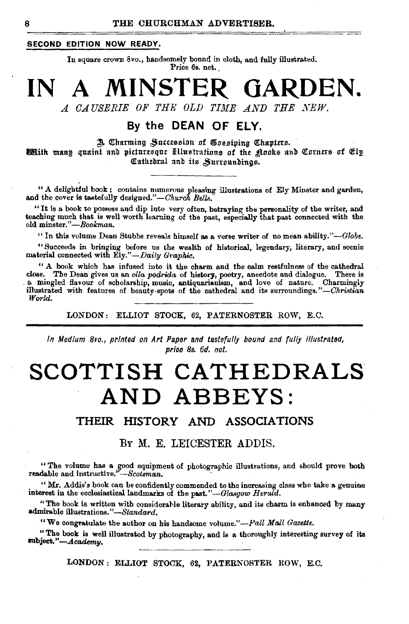### SECOND EDITION NOW READY.

In square crown 8vo., handsomely bound in cloth, and fully illustrated. Price 6s. net.

# **IN A MINSTER GARDEN.**  *A CAUSERIE OF THE OLD TIME AND THE NEW.*

### By the **DEAN OF ELY.**

3. Charming Succession of Gossiping Chapters. **Mith manp quaint and picturesque Hllustrations of the Rocks and Corners of Cly** Cathedral and its Surroundings.

" A delightful book ; contains numerous pleasing illustrations of Ely Minster and garden, and the cover is tastefully designed."-Church Bells.

"It is a book to possess and dip into very often, betraying the personality of the writer, and teaching much that is well worth learning of the past, especially that past connected with the old minster."-Bookman.

"In this volume Dean Stubbs reveals himself as a verse writer of no mean ability." $-dlobe.$ 

"Succeeds in bringing before us the wealth of historical, legendary, literary, and scenic material connected with Ely." - Daily Graphic.

" A book which has infused into it the charm and the calm restfulness of the cathedral close. The Dean gives us an *olla podrida* of history, poetry, anecdote and dialogue. There is close. The Dean gives us an *olla podrida* of history, poetry, anecdote and dialogue. There is<br>a mingled flavour of scholarship, music, antiquarianism, and love of nature. Charmingly<br>illustrated with features of beauty-spo

LONDON: ELLIOT STOCK, 62, PATERNOSTER ROW, E.C.

*In Medium 8vo., printed on Art Paper and tastefully bound and fully illustrated, price 8s. 6d. net.* 

# **SCOTTISH CATHEDRALS AND ABBEYS:**

### THEIR HISTORY AND ASSOCIATIONS

### BY M. E. LEICESTER ADDIS.

"The volume has a good equipment of photographic illustrations, and should prove both readable and instructive." -Scotsman.

"Mr. Addis's book can be confidently commended to the increasing class who take a genuine interest in the ecclesiastical landmarks of the past."-Glasgow Herald.

"The book is written with considerable literary ability, and its charm is enhanced by many admirable illustrations." *-Standard.* 

"We congratulate the author on his handsome volume."-Pall Mall Gazette.

"The book is well illustrated by photography, and is a thoroughly interesting survey of its  $Fubject." - \textit{Academy}.$ 

LONDON: ELLIOT STOCK, 62, PATERNOSTER ROW, E.C.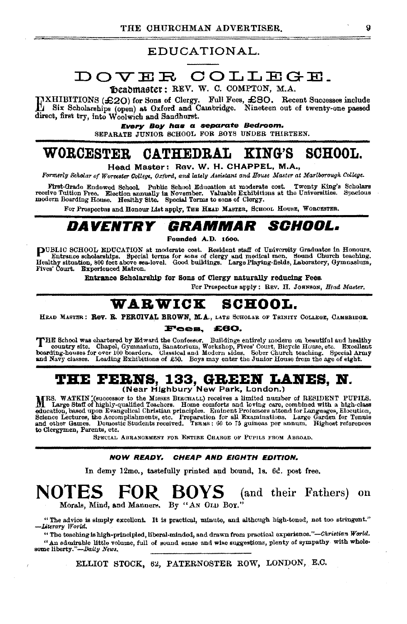### EDUCATIONAL.

### DOVER COLLEGE. focaomaster: REV. W. C. COMPTON. M.A.

DXHIBITIONS (£20) for Sons of Clergy. Full Fees, £80. Recent Successes include El Six Scholarships (open) at Oxford and Cambridge. Nineteen out of twenty-one passed direct, first try, into Woolwich and Sandhurst.

Every Boy has a separate Bedroom. SEPARATE JUNIOR SCHOOL FOR BOYS UNDER THIRTEEN.

#### **WORCESTER** CATHEDRAL KING'S **SCHOOL.**

Head Master: Rev. W. H. CHAPPEL, M.A.,

Formerly Scholar of Worcester College, Oxford, and lately Assistant and House Master at Martborough College.

First-Grade Endowed School. Public School Education at moderate cost. Twenty King's Scholars receive Tuition Free. Election annually in November. Valuable Exhibitions at the Universities. Specious modern Boarding House. He

For Prospectus and Honour List apply, THE HEAD MASTER, SCHOOL HOUSE, WORCESTER.

#### DAVENTRY GRAMMAR *SCHOOL.*

Founded A.D. 1600.

PUBLIC SCHOOL EDUCATION at moderate cost. Resident staff of University Graduates in Honours.<br>Entrance scholarships. Special terms for sons of clergy and medical men. Sound Church teaching.<br>Healthy situation, 800 feet above Fives' Court. Experienced Matron.

Entrance Scholarship for Sons of Clergy naturally reducing Fees.

For Prospectus apply: REV, H. JOHNSON, Head Master.

#### WARWICK **SCHOOL.**

HEAD MASTER: ROV. R. PERCIVAL BROWN, M.A., LATE SCHOLAR OF TRINITY COLLEGE, CAMBRIDGE,

#### £60. Fees,

THE School was chartered by Edward the Confessor. Buildings entirely modern on beautiful and healthy country site. Chapel, Gymnasium, Sanatorium, Workshop, Fives' Court, Bicycle House, etc. Excellent boarding-houses for ov and Navy classes. Leading Exhibitions of £50. Boys may enter the Junior House from the age of eight.

# THE FERNS, 133, GREEN LANES, N.<br>(Near Highbury New Park, London.)

MRS. WATKIN (successor to the Missus Buccause) receives a limited number of RESIDENT PUPILS. M. Large Staff of highly-qualified Teachers. Home comforts and loting care, combined with a high-class<br>education, based upon Evangelical Christian principles. Eminent Professors attend for Languages, Elecution,<br>education, to Clergymen, Parents, etc.

SPECIAL ARRANGEMENT FOR ENTIRE CHARGE OF PUPILS FROM ABROAD.

#### **NOW READY.** CHEAP AND EIGHTH EDITION.

In demy 12mo., tastefully printed and bound, 1s. 6d. post free.

#### **BOYS** (and their Fathers) on NOTES **NO** FOR . Morals, Mind, and Manuers. By "AN OLD BOY."

"The advice is simply excellent. It is practical, minute, and although high-tened, not too stringent." -Literary World.

"The teaching is high-principled, liberal-minded, and drawn from practical experience."-Christian World. "An admirable little volume, full of sound sense and wise suggestions, plenty of sympathy with wholesome liberty."-Daity News.

ELLIOT STOCK, 62, PATERNOSTER ROW, LONDON, E.C.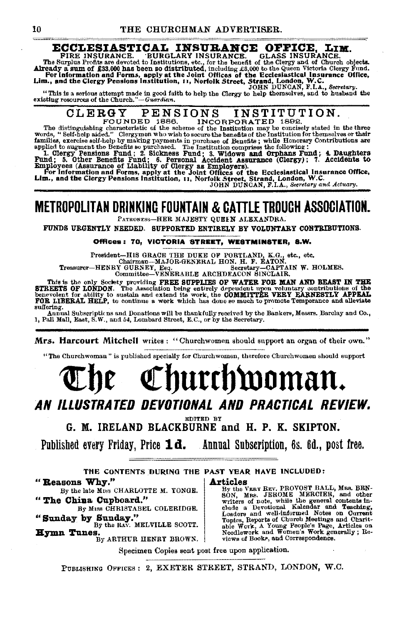# ECCLESIASTICAL INSURANCE OFFICE, LIM.<br>FIRE INSURANCE. BURGLARY INSURANCE. GLASS INSURANCE.

FIRE INSURANCE. BURGLARY INSURANCE. GLASS INSURANCE.<br>The Surplus Frofits are devoted to Institutions, etc., for the benefit of the Glergy and of Church objects.<br>Already a sum of £33,000 has been so distributed, including £

"This is a serious attempt made in good faith to help the Clergy to help themselves, and to husband the existing resources of the Church."-Guardian.

### CLERGY PENSIONS INSTITUTION.<br>FOUNDED 1886. INCORPORATED 1892. INCORPORATED 1892.

The distinguishing characteristic of the scheme of the Institution may be concisely stated in the three words, "Self-help aided." Clergymen who wish to secure the benefits of the Institution for themselves or their

words, "Self-help aided." Clergymen who wish to secure the benefits of the Institution for themselves or their<br>families, exercise self-help by making payments in purchase of Benefits; while Honorary Contributions are<br>appli

## METROPOLITAN DRINKING FOUNTAIN & CATTLE TROUGH ASSOCIATION.

PATRONESs-HER MAJESTY QUEEN ALEXANDRA.

FUNDS URGENTLY NEEDED. SUPPORTED ENTIRELY BY VOLUNTARY CONTRIBUTIONS.

#### Offices: 70, VICTORIA STREET, WESTMINSTER, S.W.

 $P$ ricsident~!!!!!!!!! VIACLE THE DUAR OF FORILLAND, A.U., etc., etc., etc., etc., etc., etc., etc., etc., etc., Treasurer-HENRY GURNEY, Esq. Secretary-CAPTAIN W. HOLMES. Committee-VENERABLE ARCHDEACON SINCLAIR.

This is the only Sockety providing FREE SUPPLIES OF WATER FOR MAN AND BEAST IN THE STREETS OF LONDON. The Association being entirely dependent upon voluntary contributions of the CHENETS OF A beneforth of ability to sustai suffering. . Annual Subacripticns and Donations will be thankfully received by the Bankers, Messrs •. Barclay and Co.,

1, Pall Mall, East, S. W., and 54, Lombard Street, E. C., or by the Secretary.

Mrs. Harcourt Mitchell writes : "Churchwomen should support an organ of their own."

"The Churchwoman" is published specially for Churchwomen, therefore Churchwomen should support

# $\mathbb C$ hurch $\mathfrak w$ oman. AN ILLUSTRATED DEVOTIONAL AND PRACTICAL REVIEW.

EDITED BY

G. M. IRELAND BLACKBURNE and H. P. K. SKIPTON.

Published every Friday, Price  $\mathbf{1d.}$  Annual Subscription, 6s. 6d., post free.

THE CONTENTS DURING THE PAST YEAR HAVE INCLUDED:

" **Reasons Why."** By the late MISS CHARLOTTE M. TONGE.  $\frac{By \text{ the } V}{By \text{ the } V}$ 

By the late Mrss CHARLOTTE M. YONGE. By the VERY REV. PROVOST BALL, MRS. BEN-<br>SON, MRS. JEROME MERCIER, and other " SON, MRS. JEROME MERCIER, and other "<br>writers of note, while the general contents in-By MISS CHRISTABEL COLERIDGE.<br>
"Sunday by Sunday." Leaders and well-informed Notes on Current<br>
By the Rav. MELVILLE SCOTT.<br>
By the Rav. MELVILLE SCOTT.<br>
By the Rav. MELVILLE SCOTT.<br>
By ARTHUR HENRY BROWN.<br>
Needlework and W

Specimen Copies sent post free upon application.

PUBLISHING OFFICES: 2, EXETER STREET, STRAND, LONDON, W.C.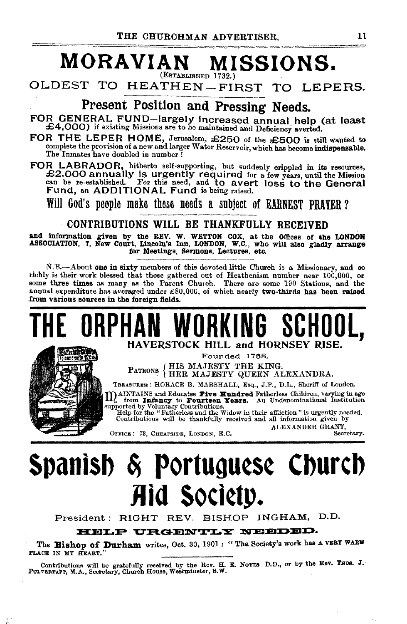### **MORAVIAN MISSIONS.**  (ESTABLISHED 1732.}

OLDEST TO HEATHEN-FIRST TO LEPERS.

Present Position and Pressing Needs.

FOR GENERAL FUND-largely increased annual help (at least £4,000) if existing Missions are to be maintained and Deficiency averted.

FOR THE LEPER HOME, Jerusalem, £250 of the £500 is still wanted to complete the provision of a new and larger Water Reservoir, which has become indispensable.<br>The Inmates have doubled in number !

FOR LABRADOR, hitherto self-supporting, but suddenly crippled in its resources, £2.000 annually IS urgently required for a few years, until the Mission can be re-established. For this need, and to avert loss to the General Fund, an ADDITIONAL Fund is being raised.

Will God's people make these needs a subject of EARNEST PRAYER?

### CONTRIBUTIONS WILL BE THANKFULLY RECEIVED

and information given by the REV. W. WETTON COX, at the Offices of the LONDON ASSOCIATION, 7, New Court, Lincoln's Inn, LONDON, W.C., who will also gladly arrange for Meetings, sermons, Lectures, etc.

N.B.—About one in sixty members of this devoted little Church is a Missionary, and so richly is their work blessed that those gathered out of Heathenism number near 100,000, or some three times as many as the Parent Church annual expenditure has averaged under  $£80,000$ , of which nearly two-thirds has been raised from various sources in the foreign fields.

# **THE ORPHAN WORKING SCHOOL SCHOOLS SCHOOLS AND THE ORPHANISH**



Founded 1788. PATRONS {HIS MAJESTY THE KING.<br>HER MAJESTY QUEEN ALEXANDRA.

TREASURER: HORACE B. MARSHALL, Esq., J.P., D.L., Sheriff of London.

M AINTAINS and Educates Five Hundred Fatherless Children, varying in age from Infancy to Fourteen Years. An Undenominational Institution supported by Voluntary Contributions.<br>Belp for the "Fatherless and the Widow in their

Contributious will be thankfully received and all information given by ALEXANDER GRANT, Secretary.

OFFICE: 73, CHEAPSIDE, LONDON, E.C.

 $\epsilon$  .

# **Spantsb** ~ Portugu~s~ **Cburcb Jid Society.**<br>President: RIGHT REV. BISHOP INGHAM, D.D.

**HELP URGENTLY NEEDED.** 

The **Bishop of Durham** writes, Oct. 30, 1901: "The Society's work has a VEBY WARM PLACE IN MY HEART."

Contributions will be gratefully received by the Rev. H. E. NoyES D.D., or by the Rev. Thos. J. PULVERTAFT, M.A., Secretary, Church House, Westminster, S. W.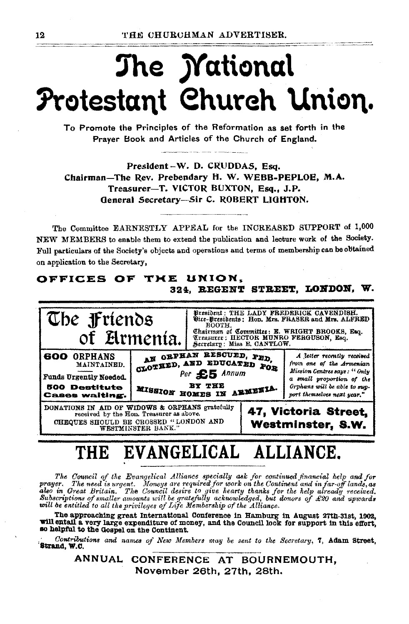# The *Mational* Protestant Church Union.

To Promote the Principles of the Reformation as set forth in the Praver Book and Articles of the Church of England.

President-W. D. CRUDDAS, Esq. Chairman-The Rev. Prebendary H. W. WEBB-PEPLOE. M.A. Treasurer-T. VICTOR BUXTON, Esq., J.P. General Secretary-Sir C. ROBERT LIGHTON.

The Committee EARNESTLY APPEAL for the INCREASED SUPPORT of 1,000 NEW MEMBERS to enable them to extend the publication and lecture work of the Society. Full particulars of the Society's objects and operations and terms of membership can be obtained on application to the Secretary,

### OFFICES OF THE UNION. 324, REGENT STREET, LONDON, W.



### EVANGELICAL ALLIANCE. THE

The Council of the Evangelical Alliance specially ask for continued financial help and for The need is urgent. Moneys are required for work on the Continent and in fur-off lands, as<br>also in Great Britain, The Council desire to give hearty thanks for the help aircoff lands, as<br>also in Great Britain, The Council d

The approaching great International Conference in Hamburg in August 27th-31st, 1902, will entail a very large expenditure of money, and the Council look for support in this effort, so helpful to the Gospel on the Continent.

Contributions and names of New Members may be sent to the Secretary, 7, Adam Street, Strand, W.C.

> ANNUAL CONFERENCE AT BOURNEMOUTH, November 26th, 27th, 28th.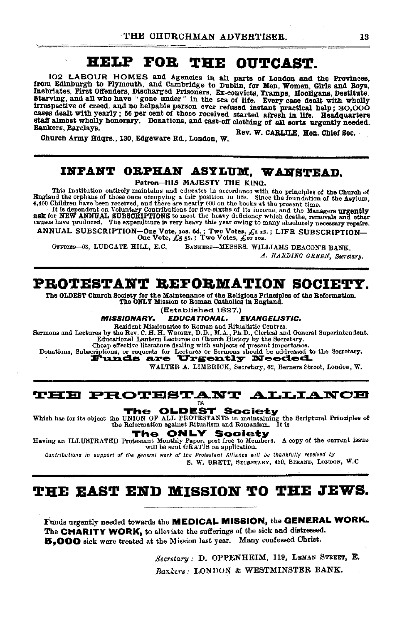#### HELP FOR THE **OUTCAST.**

102 LABOUR HOMES and Agencies in all parts of London and the Provinces, from Edinburgh to Plymouth, and Cambridge to Dublin, for Men, Women, Girls and Boys, Inebriates, First Offenders, Discharged Prisoners, Ex-convicts, Tramps, Hooligans, Destitute. Starving, and all who have "gone under" in the sea of life. Every case dealt with wholly irrespective of creed, and no helpable person ever refused instant practical help; SO,OOO cases dealt with yearly; 56 per cent of those received started afresh in life. Headquarters staff almost wholly honorary. Donations, and cast-off clothing of all sorts urgently needed. Bankers, Barclays. Rev. W. CARLILE, Hon. Chief Sec.

Church Army Hdqrs., 130, Edgeware Rd., London, W.

### INPANT ORPHAN ASYLUM, WANSTEAD.

Patron-HIS MAJESTY THE KING.

This Institution entirely maintains and educates in accordance with the principles of the Church of England the orphans of those once occupying a fair position in life. Since the foundation of the Asylum, 4,460 Children ha

A, so continuous and contributions for five-sixths of its income, and the Managers urgently ask for NEW ANNUAL SUBSCRIPTIONS to meet the heavy deficiency which deaths, removals and other causes have produced. The expenditu

ANNUAL SUBSCRIPTION-One Vote, ros. 6d.; Two Votes,  $\pounds$ t 15.; LIFE SUBSCRIPTION-<br>One Vote,  $\pounds$ 5 5s.; Two Votes,  $\pounds$ io 10s.

OFFICES-63, LUDGATE HILL, E.C. BANKERS-MESSRS. WILLIAMS DEACON'S BANK.

A. HARDING GREEN, Secretary.

### PROTESTANT REFORMATION SOCIETY.

The OLDEST Church Society for the Maintenance of the Religious Principles of the Reformation. The ONLY Mission to Roman Catholics in England.

(Established 1827.)

**MISSIONARY. EDUCATIONAL, EVANGELISTIC,** 

Resident Missionaries to Roman and Ritualistic Centres.

Sermons and Lectures by the Rev. C. H. H. WRIGHT, D.D., M.A., Ph.D., Clerical and General Superintendent.<br>Bducational Lantern Lectures on Church History by the Secretary.

Cheap effective literature dealing with subjects of present importance.

Donations, Subscriptions, or requests for Lectures or Sermons should be addressed to the Secretary.

WALTER A. LIMBRICK, Secretary, 62, Berners Street, London, W.

### **THE PROTESTANT ALLIANCE**

**18** 

**OLDEST Society** The Which has for its object the UNION OF ALL PROTESTANTS in maintaining the Scriptural Principles of the Reformation against Ritualism and Romanism. It is

The **ONLY Society** 

Having an ILLUSTRATED Protestant Monthly Paper, post free to Members. A copy of the current issue will be sent GRATIS on application.

Contributions in support of the general work of the Protestant Alliance will be thankfully received by

S. W. BRETT, SECRETARY, 450, STRAND, LONDON, W.C.

### THE EAST END MISSION TO THE JEWS.

Funds urgently needed towards the MEDICAL MISSION, the GENERAL WORK. The CHARITY WORK, to alleviate the sufferings of the sick and distressed. 5,000 sick were treated at the Mission last year. Many confessed Christ.

> Secretary : D. OPPENHEIM, 119, LEMAN STREET, E. Bankers: LONDON & WESTMINSTER BANK.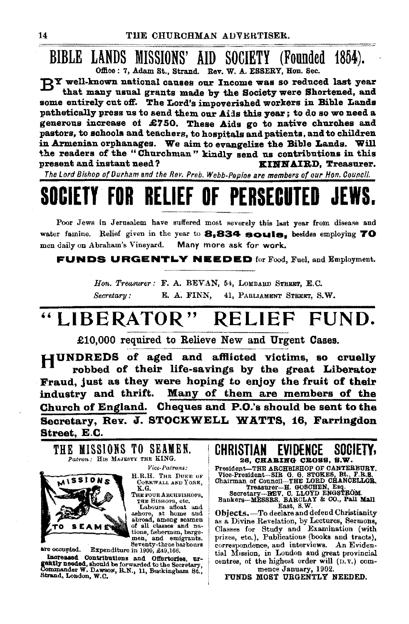### BIBLE LANDS MISSIONS' AID SOCIETY (Founded 1854). Office: 7, Adam St., Strand. Rev. W. A. ESSERY, Hon. Sec.

RY well-known national causes our Income was so reduced last year that many usual grants made by the Society were Shortened, and some entirely cut off. The Lord's impoverished workers in Bible Lands pathetically press us to send them our Aids this year; to do so we need a generous increase of £750. These Aids go to native churches and pastors, to schools and teachers, to hospitals and patients, and to children in Armenian orphanages. We aim to evangelize the Bible Lands. Will the readers of the "Churchman" kindly send us contributions in this present and instant need? KINNAIRD, Treasurer.

The Lord Bishop of Durham and the Rev. Preb. Webb-Peploe are members of our Hon. Council.

# SOCIETY FOR RELIEF OF PERSECUTED

Poor Jews in Jerusalem have suffered most severely this last year from disease and water famine. Relief given in the year to 8,834 souls. besides employing 70 men daily on Abraham's Vineyard. Many more ask for work.

**FUNDS URGENTLY NEEDED** for Food, Fuel, and Employment.

Hon. Treasurer: F. A. BEVAN, 54, LOMBARD STREET, E.C. E. A. FINN, 41, PARLIAMENT STREET, S.W. Secretary:

#### "LIBERATOR" **RELIEF** FUND.

£10,000 required to Relieve New and Urgent Cases.

HUNDREDS of aged and afflicted victims, so cruelly robbed of their life-savings by the great Liberator Fraud, just as they were hoping to enjoy the fruit of their Many of them are members of the industry and thrift. Church of England. Cheques and P.O.'s should be sent to the Secretary, Rev. J. STOCKWELL WATTS, 16, Farringdon Street, E.C.

THE MISSIONS TO SEAMEN. Patron: HIS MAJESTY THE KING. Vice Patrons:



are occupied.

H.R.H. THE DUKE OF CORNWALL AND YORK,

K.G. THE FOUR ARCHBISHOPS, THE BISHOPS, etc. Labours afloat and ashore, at home and<br>abroad, among seamen

of all classes and nations, fishermen, bargemen, and emigrants. Seventy-three barbours

Expenditure in 1900, £49,166.

Increased Contributions and Offertories, urgently needed, should be forwarded to the Secretary, Commander W. DAWSON, R.N., 11, Buckingham St., Strand, London, W.C.

CHRISTIAN **EVIDENCE** SOCIETY. 26, CHABING CROSS, S.W. President-THE ARCHBISHOP OF CANTERBURY.

Freshmund-The ARCHBISSIC OF CANDIBUSE THE RES.<br>
Chairman of Council-THE LORD CHANCELLOR,<br>
Treasurer--H. GOSCHEN, Esq.<br>
Secretary--HEV. C. LLOYD ENGSTROM.<br>
Bankers--MESSRS, BARCLAY & CO., Fall Mall

East, S.W.

Objects. - To declare and defend Christianity as a Divine Revelation, by Lectures, Sermons,<br>Classes for Study and Examination (with prizes, etc.), Publications (books and tracts), correspondence, and interviews. An Evidential Mission, in London and great provincial centres, of the highest order will (D.V.) commence January, 1902.

FUNDS MOST URGENTLY NEEDED.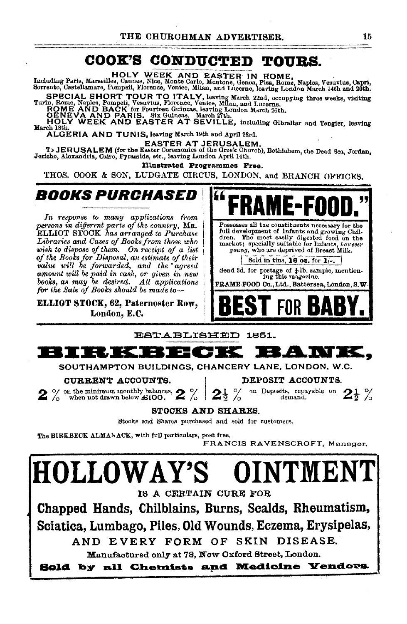#### COOK'S CONDUCTED TOURS.

HOLY WEEK AND EASTER IN ROME,<br>Including Paris, Marseilles, Cannes, Nice, Monte Carlo, Mentone, Genea, Pisa, Rome, Naples, Vesuvius, Capri,<br>Sorrento, Castellamare, Pompsii, Florence, Venice, Milan, and Lucerne, leaving Lond

SPECIAL SHORT TOUR TO ITALY, leaving March 22nd, occupying three weeks, visiting<br>Turin, Rome, Naples, Pompeii, Vesuvius, Florence, Venice, Milan, and Lucerne.<br>ROME AND BACK for Fourteen Guineas, leaving London March 26th.<br>

March 18th ALGERIA AND TUNIS, leaving March 19th and April 23rd.

EASTER AT JERUSALEM.<br>To JERUSALEM (for the Easter Coremonies of the Groek Church), Bethlohem, the Dead Sea, Jordan, Jericho, Alexandria, Cairo, Pyramida, etc., leaving London April 14th.

Illustrated Programmes Free.

THOS. COOK & SON, LUDGATE CIRCUS, LONDON, and BRANCH OFFICES.

### *ROOKS PURCHASED*

In response to many applications from persons in different parts of the country, MR.<br>ELLIOT STOCK has arranged to Purchase Libraries and Cases of Books from those who<br>wish to dispose of them. On receipt of a list<br>of the Books for Disposal, an estimate of their value will be forwarded, and the agreed amount will be paid in cash, or given in new books, as may be desired. All applications for the Sale of Books should be made to

ELLIOT STOCK, 62, Paternoster Row, London, E.C.



ESTABLISHED 1851.



SOUTHAMPTON BUILDINGS, CHANCERY LANE, LONDON, W.C.

### CURRENT ACCOUNTS.

o/ on the minimum monthly balances,  $2\%$ 

DEPOSIT ACCOUNTS.

on Deposits, repayable on  $2\frac{1}{2}$  % demand.

STOCKS AND SHARES.

2 ∛

Stocks and Shares purchased and sold for customers.

The BIRKBECK ALMANACK, with full particulars, post free.

FRANCIS RAVENSCROFT, Manager.